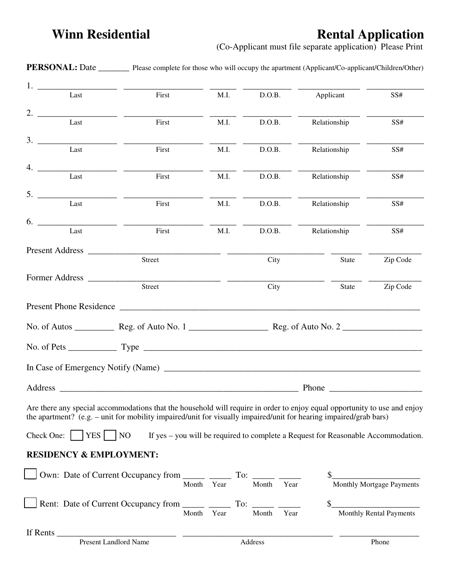## **Winn Residential Construction Rental Application**

(Co-Applicant must file separate application) Please Print

|                                    | <b>PERSONAL:</b> Date _________ Please complete for those who will occupy the apartment (Applicant/Co-applicant/Children/Other)                                                                                                                |            |               |                                                                                   |                           |  |  |
|------------------------------------|------------------------------------------------------------------------------------------------------------------------------------------------------------------------------------------------------------------------------------------------|------------|---------------|-----------------------------------------------------------------------------------|---------------------------|--|--|
| 1.<br>Last                         | First                                                                                                                                                                                                                                          | M.I.       | D.O.B.        | Applicant                                                                         | SS#                       |  |  |
| 2.<br>Last                         | First                                                                                                                                                                                                                                          | M.I.       | D.O.B.        | Relationship                                                                      | SS#                       |  |  |
| 3.<br>Last                         | First                                                                                                                                                                                                                                          | M.I.       | D.O.B.        | Relationship                                                                      | SS#                       |  |  |
| 4.                                 |                                                                                                                                                                                                                                                |            |               |                                                                                   |                           |  |  |
| Last                               | First                                                                                                                                                                                                                                          | M.I.       | D.O.B.        | Relationship                                                                      | SS#                       |  |  |
| 5.<br>Last                         | First                                                                                                                                                                                                                                          | M.I.       | D.O.B.        | Relationship                                                                      | SS#                       |  |  |
| 6.                                 |                                                                                                                                                                                                                                                |            |               |                                                                                   |                           |  |  |
| Last                               | First                                                                                                                                                                                                                                          | M.I.       | D.O.B.        | Relationship                                                                      | SS#                       |  |  |
| Present Address                    | Street                                                                                                                                                                                                                                         |            | City          | State                                                                             | Zip Code                  |  |  |
|                                    | Street                                                                                                                                                                                                                                         |            | City          | State                                                                             | Zip Code                  |  |  |
|                                    |                                                                                                                                                                                                                                                |            |               |                                                                                   |                           |  |  |
|                                    |                                                                                                                                                                                                                                                |            |               |                                                                                   |                           |  |  |
|                                    |                                                                                                                                                                                                                                                |            |               |                                                                                   |                           |  |  |
|                                    |                                                                                                                                                                                                                                                |            |               |                                                                                   |                           |  |  |
|                                    |                                                                                                                                                                                                                                                | Phone      |               |                                                                                   |                           |  |  |
|                                    | Are there any special accommodations that the household will require in order to enjoy equal opportunity to use and enjoy<br>the apartment? (e.g. - unit for mobility impaired/unit for visually impaired/unit for hearing impaired/grab bars) |            |               |                                                                                   |                           |  |  |
| Check One: $ $   YES     NO        |                                                                                                                                                                                                                                                |            |               | If yes – you will be required to complete a Request for Reasonable Accommodation. |                           |  |  |
| <b>RESIDENCY &amp; EMPLOYMENT:</b> |                                                                                                                                                                                                                                                |            |               |                                                                                   |                           |  |  |
|                                    | Own: Date of Current Occupancy from $\frac{1}{\text{Month}}$ To: $\frac{1}{\text{Month}}$ To: $\frac{1}{\text{Month}}$                                                                                                                         |            |               |                                                                                   | Monthly Mortgage Payments |  |  |
|                                    | Rent: Date of Current Occupancy from _______ _______ To: ______ ______                                                                                                                                                                         | Month Year | Year<br>Month |                                                                                   | Monthly Rental Payments   |  |  |
|                                    |                                                                                                                                                                                                                                                |            |               |                                                                                   |                           |  |  |
|                                    |                                                                                                                                                                                                                                                |            | Address       |                                                                                   | Phone                     |  |  |